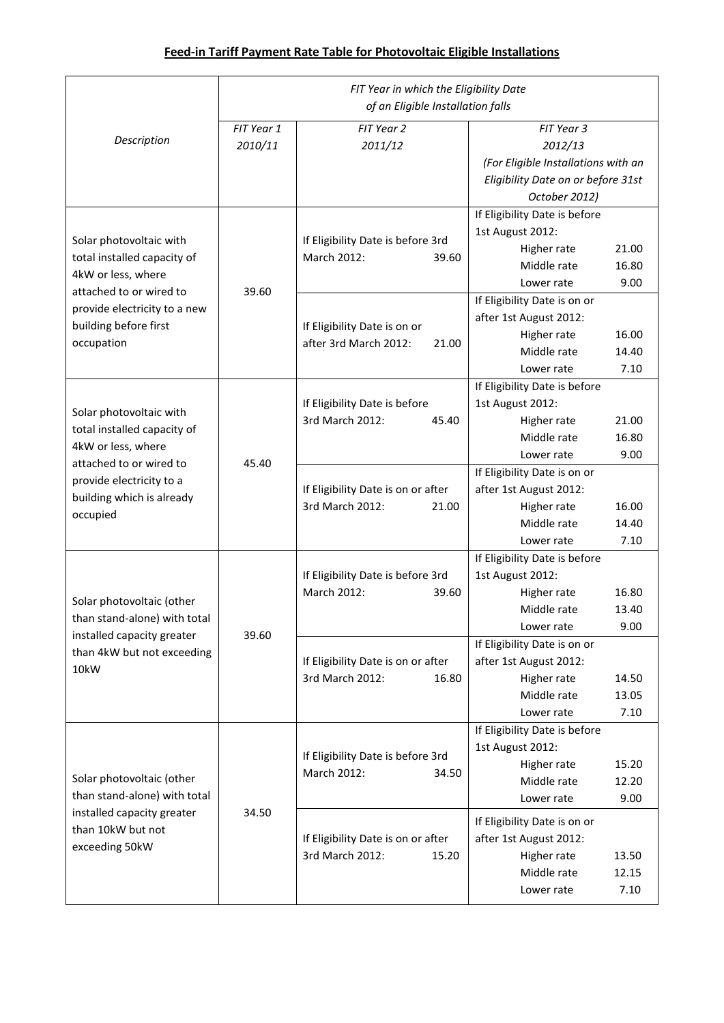|                                                                                                                                                                                | FIT Year in which the Eligibility Date<br>of an Eligible Installation falls |                                                                |                                                                                                                              |  |
|--------------------------------------------------------------------------------------------------------------------------------------------------------------------------------|-----------------------------------------------------------------------------|----------------------------------------------------------------|------------------------------------------------------------------------------------------------------------------------------|--|
| Description                                                                                                                                                                    | FIT Year 1<br>2010/11                                                       | FIT Year 2<br>2011/12                                          | FIT Year 3<br>2012/13<br>(For Eligible Installations with an<br>Eligibility Date on or before 31st<br>October 2012)          |  |
| Solar photovoltaic with<br>total installed capacity of<br>4kW or less, where<br>attached to or wired to<br>provide electricity to a new<br>building before first<br>occupation | 39.60                                                                       | If Eligibility Date is before 3rd<br>March 2012:<br>39.60      | If Eligibility Date is before<br>1st August 2012:<br>21.00<br>Higher rate<br>Middle rate<br>16.80<br>9.00<br>Lower rate      |  |
|                                                                                                                                                                                |                                                                             | If Eligibility Date is on or<br>after 3rd March 2012:<br>21.00 | If Eligibility Date is on or<br>after 1st August 2012:<br>Higher rate<br>16.00<br>Middle rate<br>14.40<br>7.10<br>Lower rate |  |
| Solar photovoltaic with<br>total installed capacity of<br>4kW or less, where<br>attached to or wired to<br>provide electricity to a<br>building which is already<br>occupied   | 45.40                                                                       | If Eligibility Date is before<br>3rd March 2012:<br>45.40      | If Eligibility Date is before<br>1st August 2012:<br>Higher rate<br>21.00<br>Middle rate<br>16.80<br>9.00<br>Lower rate      |  |
|                                                                                                                                                                                |                                                                             | If Eligibility Date is on or after<br>3rd March 2012:<br>21.00 | If Eligibility Date is on or<br>after 1st August 2012:<br>Higher rate<br>16.00<br>Middle rate<br>14.40<br>7.10<br>Lower rate |  |
| Solar photovoltaic (other<br>than stand-alone) with total<br>installed capacity greater<br>than 4kW but not exceeding<br>10kW                                                  | 39.60                                                                       | If Eligibility Date is before 3rd<br>March 2012:<br>39.60      | If Eligibility Date is before<br>1st August 2012:<br>Higher rate<br>16.80<br>Middle rate<br>13.40<br>9.00<br>Lower rate      |  |
|                                                                                                                                                                                |                                                                             | If Eligibility Date is on or after<br>3rd March 2012:<br>16.80 | If Eligibility Date is on or<br>after 1st August 2012:<br>Higher rate<br>14.50<br>Middle rate<br>13.05<br>Lower rate<br>7.10 |  |
| Solar photovoltaic (other<br>than stand-alone) with total<br>installed capacity greater<br>than 10kW but not<br>exceeding 50kW                                                 | 34.50                                                                       | If Eligibility Date is before 3rd<br>March 2012:<br>34.50      | If Eligibility Date is before<br>1st August 2012:<br>Higher rate<br>15.20<br>Middle rate<br>12.20<br>9.00<br>Lower rate      |  |
|                                                                                                                                                                                |                                                                             | If Eligibility Date is on or after<br>3rd March 2012:<br>15.20 | If Eligibility Date is on or<br>after 1st August 2012:<br>Higher rate<br>13.50<br>Middle rate<br>12.15<br>7.10<br>Lower rate |  |